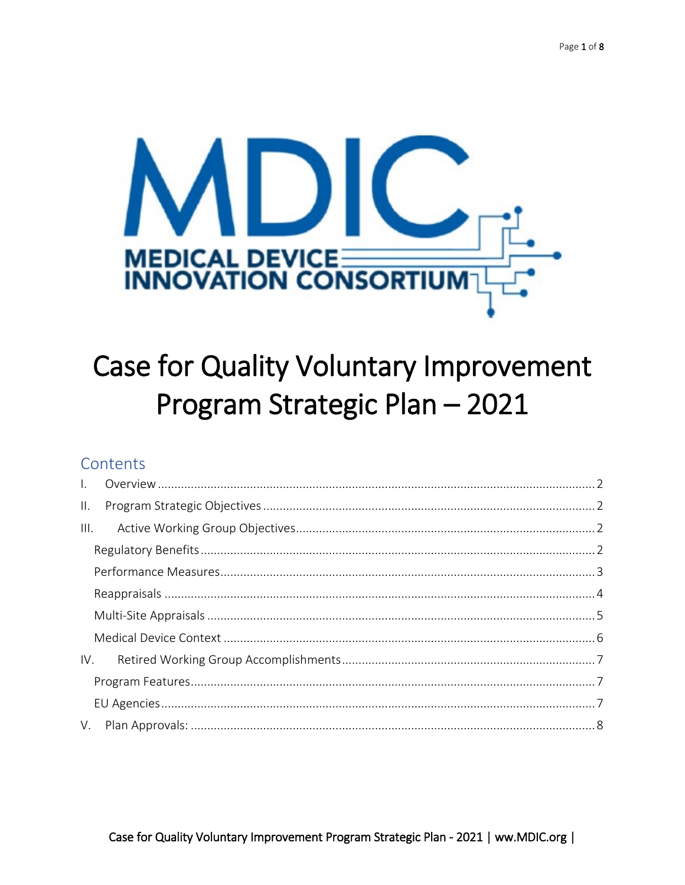

# **Case for Quality Voluntary Improvement** Program Strategic Plan - 2021

## Contents

| $\mathbf{II}$ . |  |  |
|-----------------|--|--|
| III.            |  |  |
|                 |  |  |
|                 |  |  |
|                 |  |  |
|                 |  |  |
|                 |  |  |
| IV.             |  |  |
|                 |  |  |
|                 |  |  |
|                 |  |  |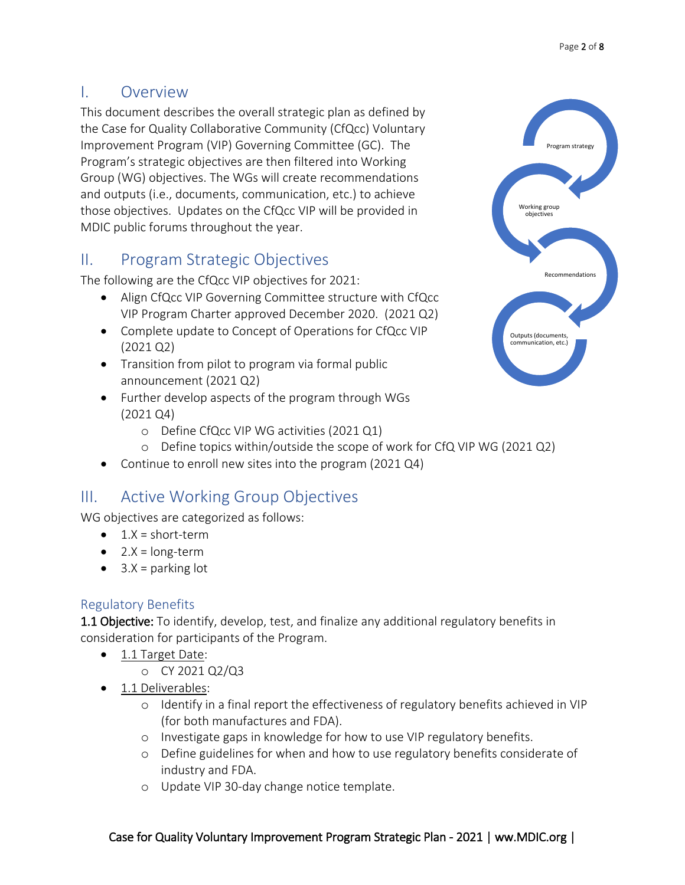### <span id="page-1-0"></span>I. Overview

This document describes the overall strategic plan as defined by the Case for Quality Collaborative Community (CfQcc) Voluntary Improvement Program (VIP) Governing Committee (GC). The Program's strategic objectives are then filtered into Working Group (WG) objectives. The WGs will create recommendations and outputs (i.e., documents, communication, etc.) to achieve those objectives. Updates on the CfQcc VIP will be provided in MDIC public forums throughout the year.

## <span id="page-1-1"></span>II. Program Strategic Objectives

The following are the CfQcc VIP objectives for 2021:

- Align CfQcc VIP Governing Committee structure with CfQcc VIP Program Charter approved December 2020. (2021 Q2)
- Complete update to Concept of Operations for CfQcc VIP (2021 Q2)
- Transition from pilot to program via formal public announcement (2021 Q2)
- Further develop aspects of the program through WGs (2021 Q4)
	- o Define CfQcc VIP WG activities (2021 Q1)
	- o Define topics within/outside the scope of work for CfQ VIP WG (2021 Q2)
- Continue to enroll new sites into the program (2021 Q4)

## <span id="page-1-2"></span>III. Active Working Group Objectives

WG objectives are categorized as follows:

- $\bullet$  1.X = short-term
- $\bullet$  2.X = long-term
- $3.X =$  parking lot

#### <span id="page-1-3"></span>Regulatory Benefits

1.1 Objective: To identify, develop, test, and finalize any additional regulatory benefits in consideration for participants of the Program.

- 1.1 Target Date:
	- o CY 2021 Q2/Q3
- 1.1 Deliverables:
	- o Identify in a final report the effectiveness of regulatory benefits achieved in VIP (for both manufactures and FDA).
	- o Investigate gaps in knowledge for how to use VIP regulatory benefits.
	- o Define guidelines for when and how to use regulatory benefits considerate of industry and FDA.
	- o Update VIP 30-day change notice template.

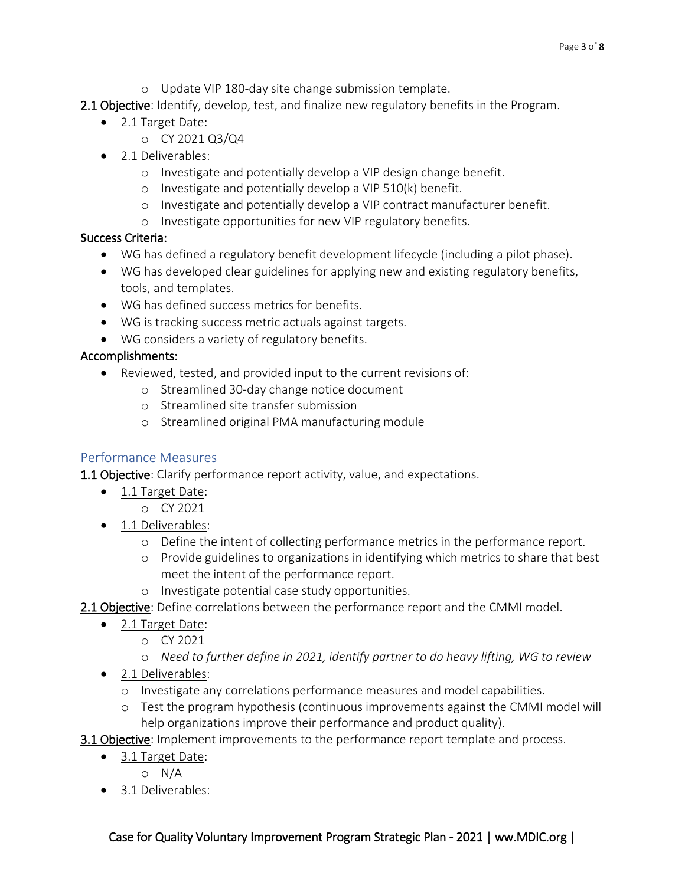- o Update VIP 180-day site change submission template.
- 2.1 Objective: Identify, develop, test, and finalize new regulatory benefits in the Program.
	- 2.1 Target Date:
		- o CY 2021 Q3/Q4
	- 2.1 Deliverables:
		- o Investigate and potentially develop a VIP design change benefit.
		- o Investigate and potentially develop a VIP 510(k) benefit.
		- o Investigate and potentially develop a VIP contract manufacturer benefit.
		- o Investigate opportunities for new VIP regulatory benefits.

- WG has defined a regulatory benefit development lifecycle (including a pilot phase).
- WG has developed clear guidelines for applying new and existing regulatory benefits, tools, and templates.
- WG has defined success metrics for benefits.
- WG is tracking success metric actuals against targets.
- WG considers a variety of regulatory benefits.

#### Accomplishments:

- Reviewed, tested, and provided input to the current revisions of:
	- o Streamlined 30-day change notice document
	- o Streamlined site transfer submission
	- o Streamlined original PMA manufacturing module

#### <span id="page-2-0"></span>Performance Measures

**1.1 Objective**: Clarify performance report activity, value, and expectations.

- 1.1 Target Date:
	- o CY 2021
- 1.1 Deliverables:
	- o Define the intent of collecting performance metrics in the performance report.
	- o Provide guidelines to organizations in identifying which metrics to share that best meet the intent of the performance report.
	- o Investigate potential case study opportunities.
- 2.1 Objective: Define correlations between the performance report and the CMMI model.
	- 2.1 Target Date:
		- o CY 2021
		- o *Need to further define in 2021, identify partner to do heavy lifting, WG to review*
	- 2.1 Deliverables:
		- o Investigate any correlations performance measures and model capabilities.
		- o Test the program hypothesis (continuous improvements against the CMMI model will help organizations improve their performance and product quality).
- **3.1 Objective:** Implement improvements to the performance report template and process.
	- 3.1 Target Date:
		- o N/A
	- 3.1 Deliverables: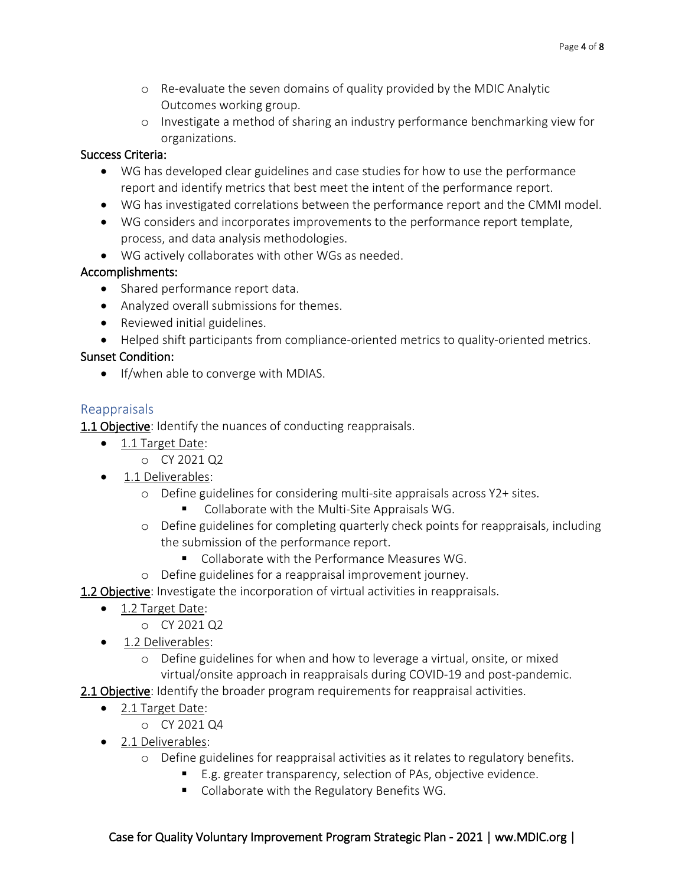- o Re-evaluate the seven domains of quality provided by the MDIC Analytic Outcomes working group.
- o Investigate a method of sharing an industry performance benchmarking view for organizations.

- WG has developed clear guidelines and case studies for how to use the performance report and identify metrics that best meet the intent of the performance report.
- WG has investigated correlations between the performance report and the CMMI model.
- WG considers and incorporates improvements to the performance report template, process, and data analysis methodologies.
- WG actively collaborates with other WGs as needed.

#### Accomplishments:

- Shared performance report data.
- Analyzed overall submissions for themes.
- Reviewed initial guidelines.
- Helped shift participants from compliance-oriented metrics to quality-oriented metrics.

#### Sunset Condition:

• If/when able to converge with MDIAS.

#### <span id="page-3-0"></span>Reappraisals

**1.1 Objective:** Identify the nuances of conducting reappraisals.

- 1.1 Target Date:
	- o CY 2021 Q2
- 1.1 Deliverables:
	- o Define guidelines for considering multi-site appraisals across Y2+ sites.
		- Collaborate with the Multi-Site Appraisals WG.
	- o Define guidelines for completing quarterly check points for reappraisals, including the submission of the performance report.
		- **Collaborate with the Performance Measures WG.**
	- o Define guidelines for a reappraisal improvement journey.
- **1.2 Objective:** Investigate the incorporation of virtual activities in reappraisals.
	- 1.2 Target Date:
		- o CY 2021 Q2
	- 1.2 Deliverables:
		- o Define guidelines for when and how to leverage a virtual, onsite, or mixed virtual/onsite approach in reappraisals during COVID-19 and post-pandemic.
- 2.1 Objective: Identify the broader program requirements for reappraisal activities.
	- 2.1 Target Date:
		- o CY 2021 Q4
	- 2.1 Deliverables:
		- o Define guidelines for reappraisal activities as it relates to regulatory benefits.
			- E.g. greater transparency, selection of PAs, objective evidence.
			- Collaborate with the Regulatory Benefits WG.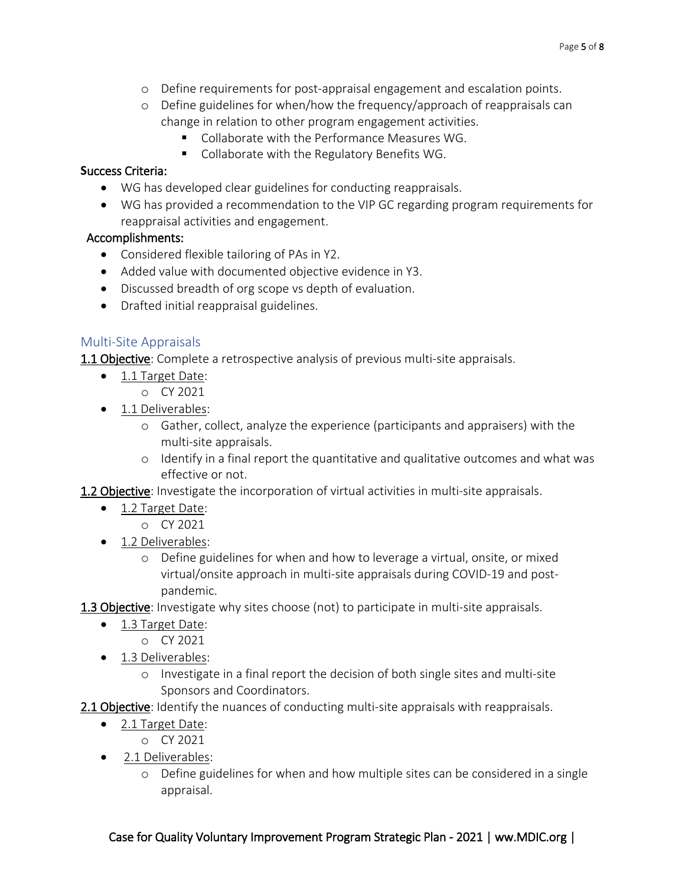- o Define requirements for post-appraisal engagement and escalation points.
- o Define guidelines for when/how the frequency/approach of reappraisals can change in relation to other program engagement activities.
	- Collaborate with the Performance Measures WG.
	- Collaborate with the Regulatory Benefits WG.

- WG has developed clear guidelines for conducting reappraisals.
- WG has provided a recommendation to the VIP GC regarding program requirements for reappraisal activities and engagement.

#### Accomplishments:

- Considered flexible tailoring of PAs in Y2.
- Added value with documented objective evidence in Y3.
- Discussed breadth of org scope vs depth of evaluation.
- Drafted initial reappraisal guidelines.

#### <span id="page-4-0"></span>Multi-Site Appraisals

**1.1 Objective**: Complete a retrospective analysis of previous multi-site appraisals.

- 1.1 Target Date:
	- o CY 2021
- 1.1 Deliverables:
	- o Gather, collect, analyze the experience (participants and appraisers) with the multi-site appraisals.
	- $\circ$  Identify in a final report the quantitative and qualitative outcomes and what was effective or not.

1.2 Objective: Investigate the incorporation of virtual activities in multi-site appraisals.

- 1.2 Target Date:
	- o CY 2021
- 1.2 Deliverables:
	- o Define guidelines for when and how to leverage a virtual, onsite, or mixed virtual/onsite approach in multi-site appraisals during COVID-19 and postpandemic.
- 1.3 Objective: Investigate why sites choose (not) to participate in multi-site appraisals.
	- 1.3 Target Date:
		- o CY 2021
	- 1.3 Deliverables:
		- o Investigate in a final report the decision of both single sites and multi-site Sponsors and Coordinators.
- 2.1 Objective: Identify the nuances of conducting multi-site appraisals with reappraisals.
	- 2.1 Target Date:
		- o CY 2021
	- 2.1 Deliverables:
		- o Define guidelines for when and how multiple sites can be considered in a single appraisal.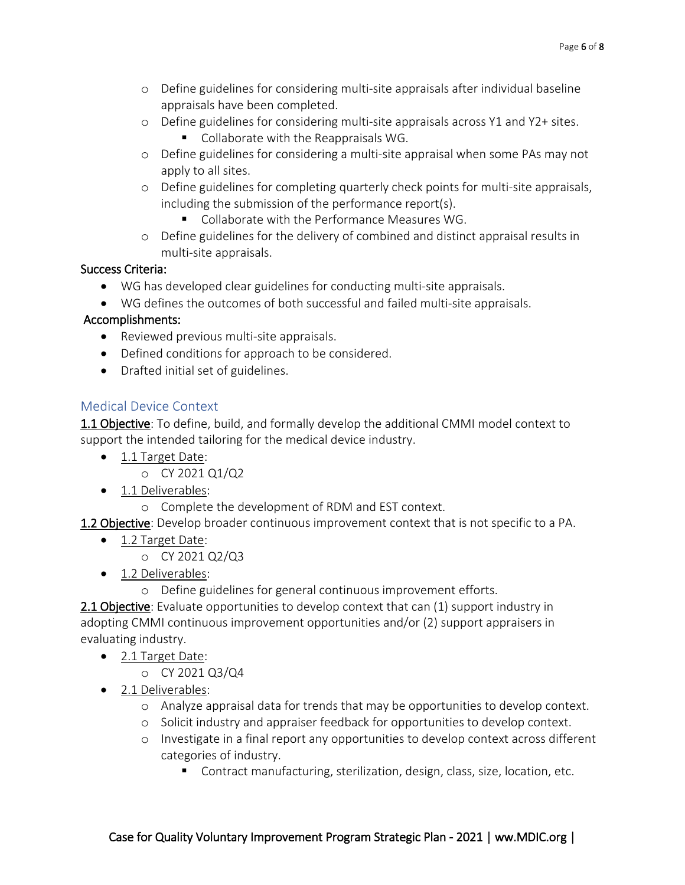- o Define guidelines for considering multi-site appraisals after individual baseline appraisals have been completed.
- o Define guidelines for considering multi-site appraisals across Y1 and Y2+ sites.
	- Collaborate with the Reappraisals WG.
- o Define guidelines for considering a multi-site appraisal when some PAs may not apply to all sites.
- o Define guidelines for completing quarterly check points for multi-site appraisals, including the submission of the performance report(s).
	- Collaborate with the Performance Measures WG.
- o Define guidelines for the delivery of combined and distinct appraisal results in multi-site appraisals.

- WG has developed clear guidelines for conducting multi-site appraisals.
- WG defines the outcomes of both successful and failed multi-site appraisals.

#### Accomplishments:

- Reviewed previous multi-site appraisals.
- Defined conditions for approach to be considered.
- Drafted initial set of guidelines.

#### <span id="page-5-0"></span>Medical Device Context

1.1 Objective: To define, build, and formally develop the additional CMMI model context to support the intended tailoring for the medical device industry.

- 1.1 Target Date:
	- o CY 2021 Q1/Q2
- 1.1 Deliverables:
	- o Complete the development of RDM and EST context.
- 1.2 Objective: Develop broader continuous improvement context that is not specific to a PA.
	- 1.2 Target Date:
		- o CY 2021 Q2/Q3
	- 1.2 Deliverables:
		- o Define guidelines for general continuous improvement efforts.

2.1 Objective: Evaluate opportunities to develop context that can (1) support industry in adopting CMMI continuous improvement opportunities and/or (2) support appraisers in evaluating industry.

- 2.1 Target Date:
	- o CY 2021 Q3/Q4
- 2.1 Deliverables:
	- o Analyze appraisal data for trends that may be opportunities to develop context.
	- o Solicit industry and appraiser feedback for opportunities to develop context.
	- o Investigate in a final report any opportunities to develop context across different categories of industry.
		- Contract manufacturing, sterilization, design, class, size, location, etc.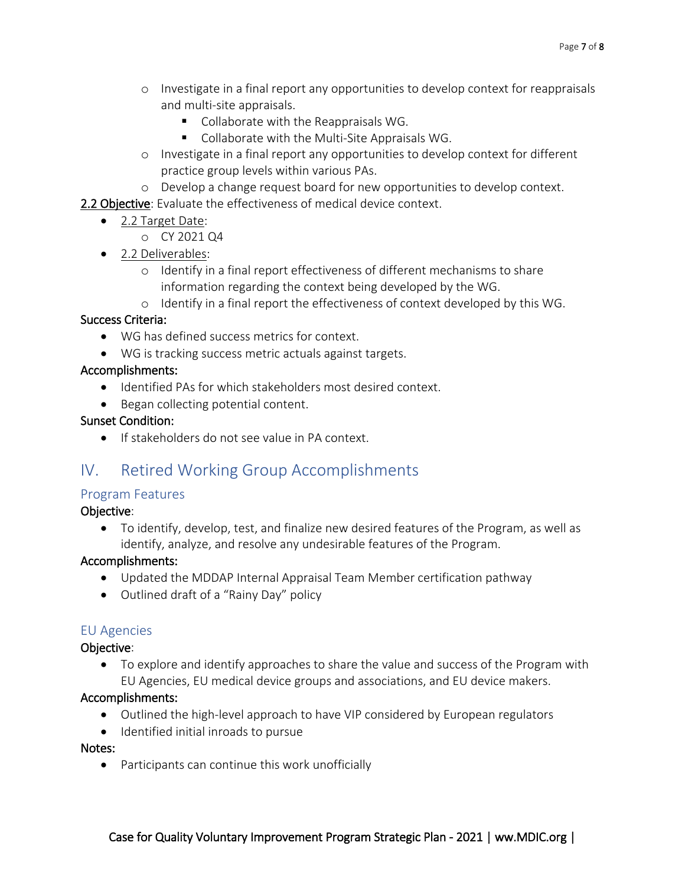- o Investigate in a final report any opportunities to develop context for reappraisals and multi-site appraisals.
	- Collaborate with the Reappraisals WG.
	- Collaborate with the Multi-Site Appraisals WG.
- o Investigate in a final report any opportunities to develop context for different practice group levels within various PAs.
- o Develop a change request board for new opportunities to develop context.
- 2.2 Objective: Evaluate the effectiveness of medical device context.
	- 2.2 Target Date:
		- o CY 2021 Q4
	- 2.2 Deliverables:
		- o Identify in a final report effectiveness of different mechanisms to share information regarding the context being developed by the WG.
		- o Identify in a final report the effectiveness of context developed by this WG.

- WG has defined success metrics for context.
- WG is tracking success metric actuals against targets.

#### Accomplishments:

- Identified PAs for which stakeholders most desired context.
- Began collecting potential content.

#### Sunset Condition:

• If stakeholders do not see value in PA context.

## <span id="page-6-0"></span>IV. Retired Working Group Accomplishments

#### <span id="page-6-1"></span>Program Features

#### Objective:

• To identify, develop, test, and finalize new desired features of the Program, as well as identify, analyze, and resolve any undesirable features of the Program.

#### Accomplishments:

- Updated the MDDAP Internal Appraisal Team Member certification pathway
- Outlined draft of a "Rainy Day" policy

#### <span id="page-6-2"></span>EU Agencies

#### Objective:

• To explore and identify approaches to share the value and success of the Program with EU Agencies, EU medical device groups and associations, and EU device makers.

#### Accomplishments:

- Outlined the high-level approach to have VIP considered by European regulators
- Identified initial inroads to pursue

#### Notes:

• Participants can continue this work unofficially